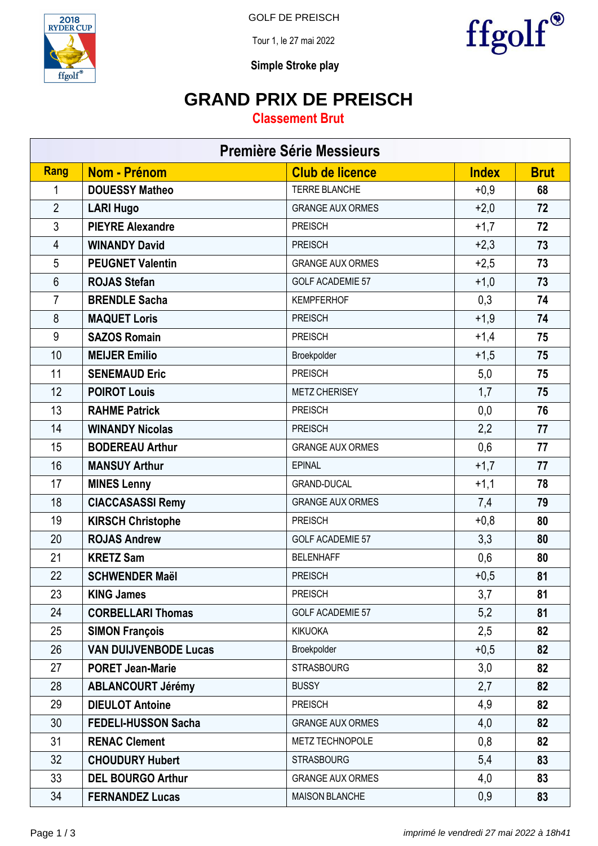

GOLF DE PREISCH

Tour 1, le 27 mai 2022



**Simple Stroke play**

### **GRAND PRIX DE PREISCH**

#### **Classement Brut**

| <b>Première Série Messieurs</b> |                              |                         |              |             |  |  |  |
|---------------------------------|------------------------------|-------------------------|--------------|-------------|--|--|--|
| <b>Rang</b>                     | Nom - Prénom                 | <b>Club de licence</b>  | <b>Index</b> | <b>Brut</b> |  |  |  |
| 1                               | <b>DOUESSY Matheo</b>        | <b>TERRE BLANCHE</b>    | $+0,9$       | 68          |  |  |  |
| $\overline{2}$                  | <b>LARI Hugo</b>             | <b>GRANGE AUX ORMES</b> | $+2,0$       | 72          |  |  |  |
| $\mathfrak{Z}$                  | <b>PIEYRE Alexandre</b>      | <b>PREISCH</b>          | $+1,7$       | 72          |  |  |  |
| $\overline{4}$                  | <b>WINANDY David</b>         | <b>PREISCH</b>          | $+2,3$       | 73          |  |  |  |
| 5                               | <b>PEUGNET Valentin</b>      | <b>GRANGE AUX ORMES</b> | $+2,5$       | 73          |  |  |  |
| $6\phantom{1}$                  | <b>ROJAS Stefan</b>          | <b>GOLF ACADEMIE 57</b> | $+1,0$       | 73          |  |  |  |
| $\overline{7}$                  | <b>BRENDLE Sacha</b>         | <b>KEMPFERHOF</b>       | 0,3          | 74          |  |  |  |
| 8                               | <b>MAQUET Loris</b>          | <b>PREISCH</b>          | $+1,9$       | 74          |  |  |  |
| 9                               | <b>SAZOS Romain</b>          | <b>PREISCH</b>          | $+1,4$       | 75          |  |  |  |
| 10                              | <b>MEIJER Emilio</b>         | Broekpolder             | $+1,5$       | 75          |  |  |  |
| 11                              | <b>SENEMAUD Eric</b>         | <b>PREISCH</b>          | 5,0          | 75          |  |  |  |
| 12                              | <b>POIROT Louis</b>          | <b>METZ CHERISEY</b>    | 1,7          | 75          |  |  |  |
| 13                              | <b>RAHME Patrick</b>         | <b>PREISCH</b>          | 0,0          | 76          |  |  |  |
| 14                              | <b>WINANDY Nicolas</b>       | <b>PREISCH</b>          | 2,2          | 77          |  |  |  |
| 15                              | <b>BODEREAU Arthur</b>       | <b>GRANGE AUX ORMES</b> | 0,6          | 77          |  |  |  |
| 16                              | <b>MANSUY Arthur</b>         | <b>EPINAL</b>           | $+1,7$       | 77          |  |  |  |
| 17                              | <b>MINES Lenny</b>           | <b>GRAND-DUCAL</b>      | $+1,1$       | 78          |  |  |  |
| 18                              | <b>CIACCASASSI Remy</b>      | <b>GRANGE AUX ORMES</b> | 7,4          | 79          |  |  |  |
| 19                              | <b>KIRSCH Christophe</b>     | <b>PREISCH</b>          | $+0,8$       | 80          |  |  |  |
| 20                              | <b>ROJAS Andrew</b>          | <b>GOLF ACADEMIE 57</b> | 3,3          | 80          |  |  |  |
| 21                              | <b>KRETZ Sam</b>             | <b>BELENHAFF</b>        | 0,6          | 80          |  |  |  |
| 22                              | <b>SCHWENDER Maël</b>        | <b>PREISCH</b>          | $+0,5$       | 81          |  |  |  |
| 23                              | <b>KING James</b>            | <b>PREISCH</b>          | 3,7          | 81          |  |  |  |
| 24                              | <b>CORBELLARI Thomas</b>     | <b>GOLF ACADEMIE 57</b> | 5,2          | 81          |  |  |  |
| 25                              | <b>SIMON François</b>        | <b>KIKUOKA</b>          | 2,5          | 82          |  |  |  |
| 26                              | <b>VAN DUIJVENBODE Lucas</b> | Broekpolder             | $+0,5$       | 82          |  |  |  |
| 27                              | <b>PORET Jean-Marie</b>      | <b>STRASBOURG</b>       | 3,0          | 82          |  |  |  |
| 28                              | <b>ABLANCOURT Jérémy</b>     | <b>BUSSY</b>            | 2,7          | 82          |  |  |  |
| 29                              | <b>DIEULOT Antoine</b>       | <b>PREISCH</b>          | 4,9          | 82          |  |  |  |
| 30                              | <b>FEDELI-HUSSON Sacha</b>   | <b>GRANGE AUX ORMES</b> | 4,0          | 82          |  |  |  |
| 31                              | <b>RENAC Clement</b>         | METZ TECHNOPOLE         | 0,8          | 82          |  |  |  |
| 32                              | <b>CHOUDURY Hubert</b>       | <b>STRASBOURG</b>       | 5,4          | 83          |  |  |  |
| 33                              | <b>DEL BOURGO Arthur</b>     | <b>GRANGE AUX ORMES</b> | 4,0          | 83          |  |  |  |
| 34                              | <b>FERNANDEZ Lucas</b>       | <b>MAISON BLANCHE</b>   | 0,9          | 83          |  |  |  |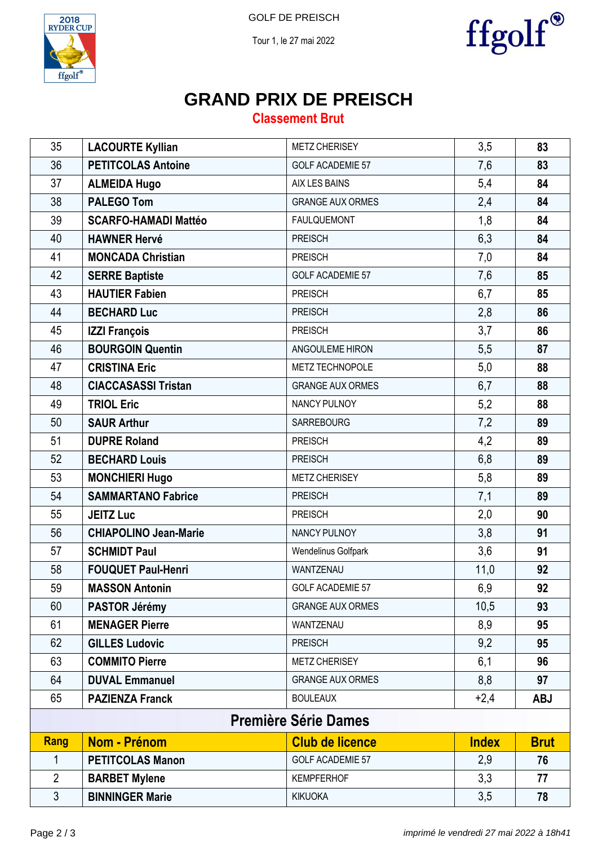



Tour 1, le 27 mai 2022



# **GRAND PRIX DE PREISCH**

### **Classement Brut**

| 35             | <b>LACOURTE Kyllian</b>      | <b>METZ CHERISEY</b>    | 3,5          | 83          |  |  |  |
|----------------|------------------------------|-------------------------|--------------|-------------|--|--|--|
| 36             | <b>PETITCOLAS Antoine</b>    | <b>GOLF ACADEMIE 57</b> | 7,6          | 83          |  |  |  |
| 37             | <b>ALMEIDA Hugo</b>          | AIX LES BAINS           | 5,4          | 84          |  |  |  |
| 38             | <b>PALEGO Tom</b>            | <b>GRANGE AUX ORMES</b> | 2,4          | 84          |  |  |  |
| 39             | <b>SCARFO-HAMADI Mattéo</b>  | <b>FAULQUEMONT</b>      | 1,8          | 84          |  |  |  |
| 40             | <b>HAWNER Hervé</b>          | <b>PREISCH</b>          | 6,3          | 84          |  |  |  |
| 41             | <b>MONCADA Christian</b>     | <b>PREISCH</b>          | 7,0          | 84          |  |  |  |
| 42             | <b>SERRE Baptiste</b>        | <b>GOLF ACADEMIE 57</b> | 7,6          | 85          |  |  |  |
| 43             | <b>HAUTIER Fabien</b>        | <b>PREISCH</b>          | 6,7          | 85          |  |  |  |
| 44             | <b>BECHARD Luc</b>           | <b>PREISCH</b>          | 2,8          | 86          |  |  |  |
| 45             | <b>IZZI François</b>         | <b>PREISCH</b>          | 3,7          | 86          |  |  |  |
| 46             | <b>BOURGOIN Quentin</b>      | ANGOULEME HIRON         | 5,5          | 87          |  |  |  |
| 47             | <b>CRISTINA Eric</b>         | METZ TECHNOPOLE         | 5,0          | 88          |  |  |  |
| 48             | <b>CIACCASASSI Tristan</b>   | <b>GRANGE AUX ORMES</b> | 6,7          | 88          |  |  |  |
| 49             | <b>TRIOL Eric</b>            | NANCY PULNOY            | 5,2          | 88          |  |  |  |
| 50             | <b>SAUR Arthur</b>           | <b>SARREBOURG</b>       | 7,2          | 89          |  |  |  |
| 51             | <b>DUPRE Roland</b>          | <b>PREISCH</b>          | 4,2          | 89          |  |  |  |
| 52             | <b>BECHARD Louis</b>         | <b>PREISCH</b>          | 6,8          | 89          |  |  |  |
| 53             | <b>MONCHIERI Hugo</b>        | <b>METZ CHERISEY</b>    | 5,8          | 89          |  |  |  |
| 54             | <b>SAMMARTANO Fabrice</b>    | <b>PREISCH</b>          | 7,1          | 89          |  |  |  |
| 55             | <b>JEITZ Luc</b>             | <b>PREISCH</b>          | 2,0          | 90          |  |  |  |
| 56             | <b>CHIAPOLINO Jean-Marie</b> | NANCY PULNOY            | 3,8          | 91          |  |  |  |
| 57             | <b>SCHMIDT Paul</b>          | Wendelinus Golfpark     | 3,6          | 91          |  |  |  |
| 58             | <b>FOUQUET Paul-Henri</b>    | WANTZENAU               | 11,0         | 92          |  |  |  |
| 59             | <b>MASSON Antonin</b>        | <b>GOLF ACADEMIE 57</b> | 6,9          | 92          |  |  |  |
| 60             | PASTOR Jérémy                | <b>GRANGE AUX ORMES</b> | 10,5         | 93          |  |  |  |
| 61             | <b>MENAGER Pierre</b>        | WANTZENAU               | 8,9          | 95          |  |  |  |
| 62             | <b>GILLES Ludovic</b>        | <b>PREISCH</b>          | 9,2          | 95          |  |  |  |
| 63             | <b>COMMITO Pierre</b>        | <b>METZ CHERISEY</b>    | 6,1          | 96          |  |  |  |
| 64             | <b>DUVAL Emmanuel</b>        | <b>GRANGE AUX ORMES</b> | 8,8          | 97          |  |  |  |
| 65             | <b>PAZIENZA Franck</b>       | <b>BOULEAUX</b>         | $+2,4$       | <b>ABJ</b>  |  |  |  |
|                | <b>Première Série Dames</b>  |                         |              |             |  |  |  |
| <b>Rang</b>    | Nom - Prénom                 | <b>Club de licence</b>  | <b>Index</b> | <b>Brut</b> |  |  |  |
| 1              | <b>PETITCOLAS Manon</b>      | <b>GOLF ACADEMIE 57</b> | 2,9          | 76          |  |  |  |
| $\overline{2}$ | <b>BARBET Mylene</b>         | <b>KEMPFERHOF</b>       | 3,3          | 77          |  |  |  |
| $\mathfrak{S}$ | <b>BINNINGER Marie</b>       | <b>KIKUOKA</b>          | 3,5          | 78          |  |  |  |